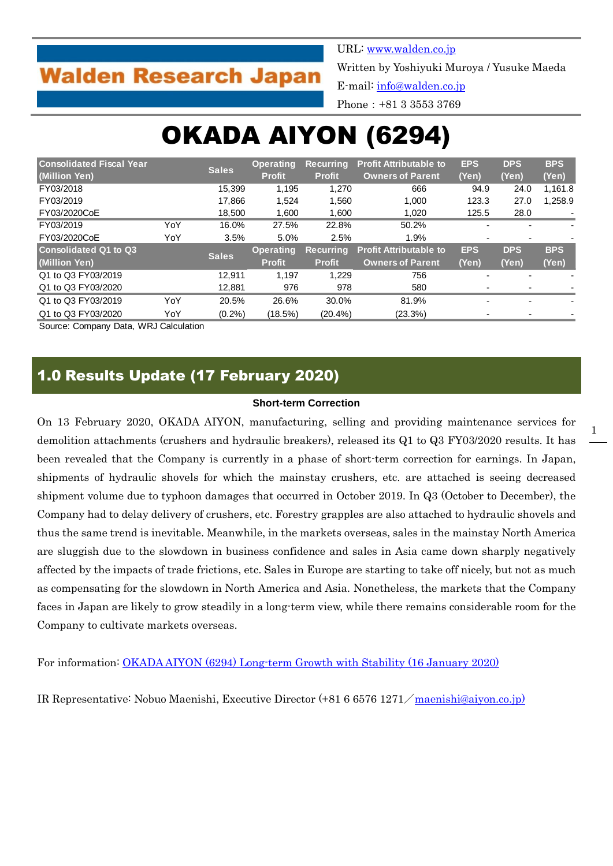# **Walden Research Japan**

URL: [www.walden.co.jp](http://www.walden.co.jp/)

Written by Yoshiyuki Muroya / Yusuke Maeda

E-mail: [info@walden.co.jp](mailto:info@walden.co.jp)

Phone:+81 3 3553 3769

# OKADA AIYON (6294)

| <b>Consolidated Fiscal Year</b><br>(Million Yen) |     | <b>Sales</b> | <b>Operating</b><br><b>Recurring</b> |                  | <b>Profit Attributable to</b> | <b>EPS</b> | <b>DPS</b> | <b>BPS</b> |
|--------------------------------------------------|-----|--------------|--------------------------------------|------------------|-------------------------------|------------|------------|------------|
|                                                  |     |              | <b>Profit</b>                        | <b>Profit</b>    | <b>Owners of Parent</b>       | (Yen)      | (Yen)      | (Yen)      |
| FY03/2018                                        |     | 15.399       | 1.195                                | 1,270            | 666                           | 94.9       | 24.0       | 1,161.8    |
| FY03/2019                                        |     | 17.866       | 1.524                                | 1.560            | 1.000                         | 123.3      | 27.0       | 1.258.9    |
| FY03/2020CoE                                     |     | 18,500       | 1,600                                | 1,600            | 1.020                         | 125.5      | 28.0       |            |
| FY03/2019                                        | YoY | 16.0%        | 27.5%                                | 22.8%            | 50.2%                         |            |            |            |
| FY03/2020CoE                                     | YoY | 3.5%         | 5.0%                                 | 2.5%             | 1.9%                          |            | -          |            |
| <b>Consolidated Q1 to Q3</b>                     |     | <b>Sales</b> | <b>Operating</b>                     | <b>Recurring</b> | <b>Profit Attributable to</b> | <b>EPS</b> | <b>DPS</b> | <b>BPS</b> |
| (Million Yen)                                    |     |              | <b>Profit</b>                        | <b>Profit</b>    | <b>Owners of Parent</b>       | (Yen)      | (Yen)      | (Yen)      |
| Q1 to Q3 FY03/2019                               |     | 12.911       | 1.197                                | 1.229            | 756                           |            | -          |            |
| Q1 to Q3 FY03/2020                               |     | 12,881       | 976                                  | 978              | 580                           |            |            |            |
| Q1 to Q3 FY03/2019                               | YoY | 20.5%        | 26.6%                                | 30.0%            | 81.9%                         |            | ٠          |            |
| Q1 to Q3 FY03/2020                               | YoY | $(0.2\%)$    | (18.5%)                              | $(20.4\%)$       | (23.3%)                       |            |            |            |

Source: Company Data, WRJ Calculation

### 1.0 Results Update (17 February 2020)

#### **Short-term Correction**

On 13 February 2020, OKADA AIYON, manufacturing, selling and providing maintenance services for demolition attachments (crushers and hydraulic breakers), released its Q1 to Q3 FY03/2020 results. It has been revealed that the Company is currently in a phase of short-term correction for earnings. In Japan, shipments of hydraulic shovels for which the mainstay crushers, etc. are attached is seeing decreased shipment volume due to typhoon damages that occurred in October 2019. In Q3 (October to December), the Company had to delay delivery of crushers, etc. Forestry grapples are also attached to hydraulic shovels and thus the same trend is inevitable. Meanwhile, in the markets overseas, sales in the mainstay North America are sluggish due to the slowdown in business confidence and sales in Asia came down sharply negatively affected by the impacts of trade frictions, etc. Sales in Europe are starting to take off nicely, but not as much as compensating for the slowdown in North America and Asia. Nonetheless, the markets that the Company faces in Japan are likely to grow steadily in a long-term view, while there remains considerable room for the Company to cultivate markets overseas.

For information: [OKADA AIYON \(6294\) Long-term Growth with Stability \(16 January 2020\)](http://walden.co.jp/pdf/6294_okadaaiyon_2020_03_q2_report_2020_01_16_english.pdf)

IR Representative: Nobuo Maenishi, Executive Director (+81 6 6576 1271/[maenishi@aiyon.co.jp\)](mailto:maenishi@aiyon.co.jp)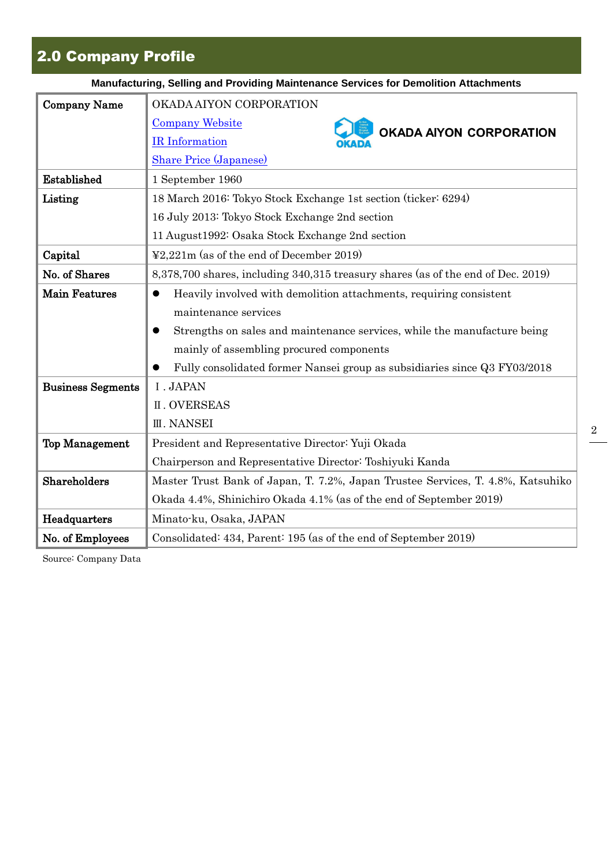# 2.0 Company Profile

|                          | Manufacturing, Selling and Providing Maintenance Services for Demolition Attachments |
|--------------------------|--------------------------------------------------------------------------------------|
| <b>Company Name</b>      | OKADA AIYON CORPORATION                                                              |
|                          | <b>Company Website</b><br><b>OKADA AIYON CORPORATION</b>                             |
|                          | IR Information                                                                       |
|                          | <b>Share Price (Japanese)</b>                                                        |
| Established              | 1 September 1960                                                                     |
| Listing                  | 18 March 2016: Tokyo Stock Exchange 1st section (ticker: 6294)                       |
|                          | 16 July 2013: Tokyo Stock Exchange 2nd section                                       |
|                          | 11 August 1992: Osaka Stock Exchange 2nd section                                     |
| Capital                  | $\textcolor{blue}{42.221}$ m (as of the end of December 2019)                        |
| No. of Shares            | 8,378,700 shares, including 340,315 treasury shares (as of the end of Dec. 2019)     |
| <b>Main Features</b>     | Heavily involved with demolition attachments, requiring consistent<br>$\bullet$      |
|                          | maintenance services                                                                 |
|                          | Strengths on sales and maintenance services, while the manufacture being<br>0        |
|                          | mainly of assembling procured components                                             |
|                          | Fully consolidated former Nansei group as subsidiaries since Q3 FY03/2018            |
| <b>Business Segments</b> | I. JAPAN                                                                             |
|                          | <b>II. OVERSEAS</b>                                                                  |
|                          | <b>III. NANSEI</b>                                                                   |
| <b>Top Management</b>    | President and Representative Director: Yuji Okada                                    |
|                          | Chairperson and Representative Director: Toshiyuki Kanda                             |
| <b>Shareholders</b>      | Master Trust Bank of Japan, T. 7.2%, Japan Trustee Services, T. 4.8%, Katsuhiko      |
|                          | Okada 4.4%, Shinichiro Okada 4.1% (as of the end of September 2019)                  |
| Headquarters             | Minato-ku, Osaka, JAPAN                                                              |
| No. of Employees         | Consolidated: 434, Parent: 195 (as of the end of September 2019)                     |

Source: Company Data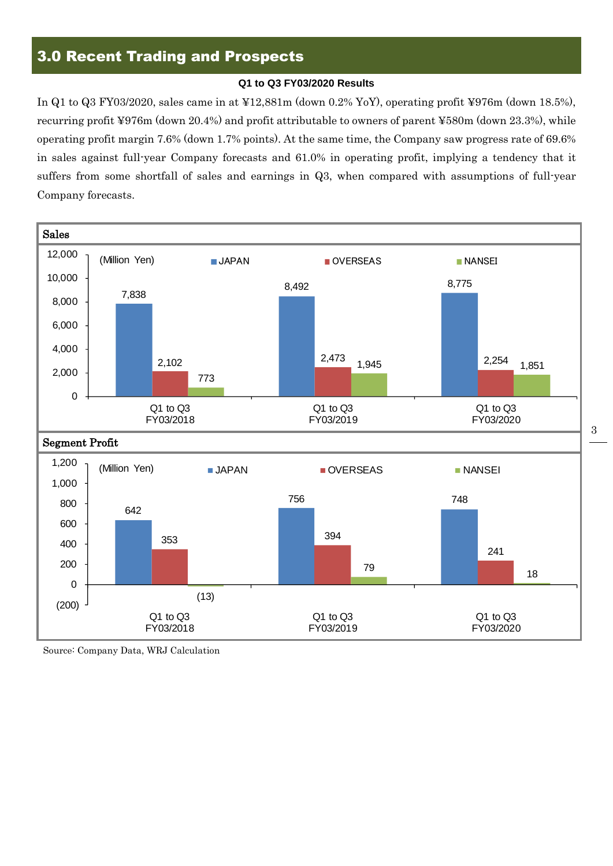### 3.0 Recent Trading and Prospects

#### **Q1 to Q3 FY03/2020 Results**

In Q1 to Q3 FY03/2020, sales came in at ¥12,881m (down 0.2% YoY), operating profit ¥976m (down 18.5%), recurring profit ¥976m (down 20.4%) and profit attributable to owners of parent ¥580m (down 23.3%), while operating profit margin 7.6% (down 1.7% points). At the same time, the Company saw progress rate of 69.6% in sales against full-year Company forecasts and 61.0% in operating profit, implying a tendency that it suffers from some shortfall of sales and earnings in Q3, when compared with assumptions of full-year Company forecasts.



3

Source: Company Data, WRJ Calculation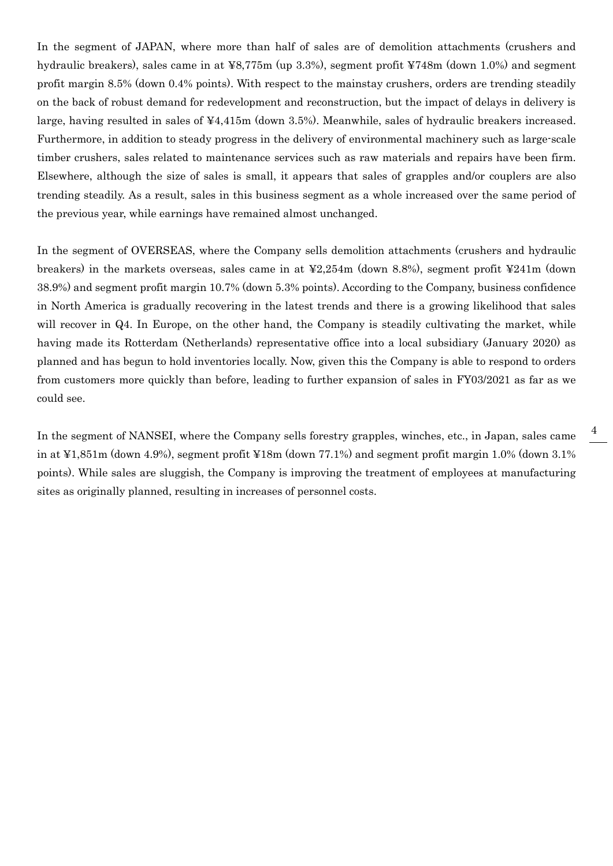In the segment of JAPAN, where more than half of sales are of demolition attachments (crushers and hydraulic breakers), sales came in at ¥8,775m (up 3.3%), segment profit ¥748m (down 1.0%) and segment profit margin 8.5% (down 0.4% points). With respect to the mainstay crushers, orders are trending steadily on the back of robust demand for redevelopment and reconstruction, but the impact of delays in delivery is large, having resulted in sales of ¥4,415m (down 3.5%). Meanwhile, sales of hydraulic breakers increased. Furthermore, in addition to steady progress in the delivery of environmental machinery such as large-scale timber crushers, sales related to maintenance services such as raw materials and repairs have been firm. Elsewhere, although the size of sales is small, it appears that sales of grapples and/or couplers are also trending steadily. As a result, sales in this business segment as a whole increased over the same period of the previous year, while earnings have remained almost unchanged.

In the segment of OVERSEAS, where the Company sells demolition attachments (crushers and hydraulic breakers) in the markets overseas, sales came in at ¥2,254m (down 8.8%), segment profit ¥241m (down 38.9%) and segment profit margin 10.7% (down 5.3% points). According to the Company, business confidence in North America is gradually recovering in the latest trends and there is a growing likelihood that sales will recover in Q4. In Europe, on the other hand, the Company is steadily cultivating the market, while having made its Rotterdam (Netherlands) representative office into a local subsidiary (January 2020) as planned and has begun to hold inventories locally. Now, given this the Company is able to respond to orders from customers more quickly than before, leading to further expansion of sales in FY03/2021 as far as we could see.

In the segment of NANSEI, where the Company sells forestry grapples, winches, etc., in Japan, sales came in at ¥1,851m (down 4.9%), segment profit ¥18m (down 77.1%) and segment profit margin 1.0% (down 3.1% points). While sales are sluggish, the Company is improving the treatment of employees at manufacturing sites as originally planned, resulting in increases of personnel costs.

4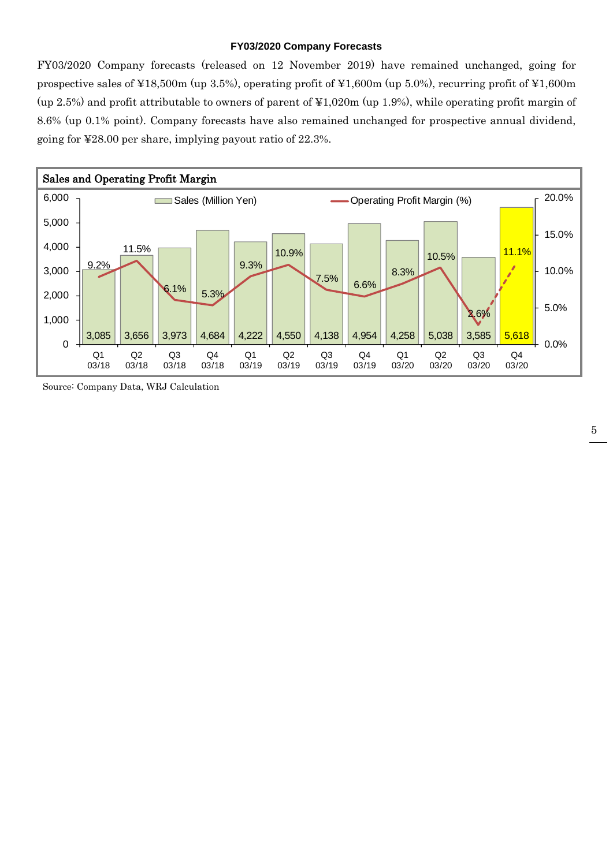#### **FY03/2020 Company Forecasts**

FY03/2020 Company forecasts (released on 12 November 2019) have remained unchanged, going for prospective sales of ¥18,500m (up 3.5%), operating profit of ¥1,600m (up 5.0%), recurring profit of ¥1,600m (up 2.5%) and profit attributable to owners of parent of ¥1,020m (up 1.9%), while operating profit margin of 8.6% (up 0.1% point). Company forecasts have also remained unchanged for prospective annual dividend, going for ¥28.00 per share, implying payout ratio of 22.3%.



Source: Company Data, WRJ Calculation

5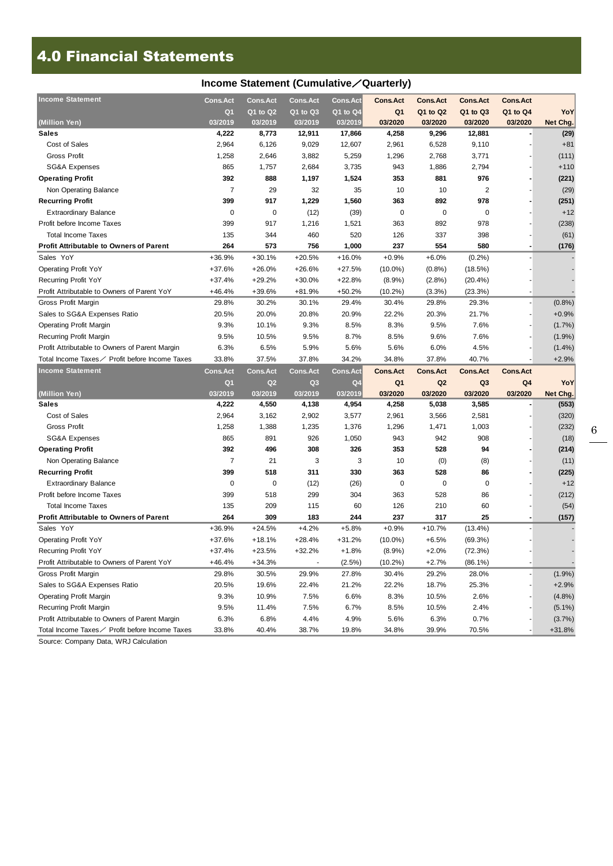## 4.0 Financial Statements

| Income Statement (Cumulative / Quarterly)      |                 |                 |                 |                 |                 |                 |                 |                 |           |  |
|------------------------------------------------|-----------------|-----------------|-----------------|-----------------|-----------------|-----------------|-----------------|-----------------|-----------|--|
| <b>Income Statement</b>                        | <b>Cons.Act</b> | <b>Cons.Act</b> | <b>Cons.Act</b> | <b>Cons.Act</b> | <b>Cons.Act</b> | <b>Cons.Act</b> | <b>Cons.Act</b> | <b>Cons.Act</b> |           |  |
|                                                | Q <sub>1</sub>  | $Q1$ to $Q2$    | $Q1$ to $Q3$    | Q1 to Q4        | Q <sub>1</sub>  | Q1 to Q2        | Q1 to Q3        | Q1 to Q4        | YoY       |  |
| (Million Yen)                                  | 03/2019         | 03/2019         | 03/2019         | 03/2019         | 03/2020         | 03/2020         | 03/2020         | 03/2020         | Net Chg.  |  |
| <b>Sales</b>                                   | 4,222           | 8,773           | 12,911          | 17,866          | 4,258           | 9,296           | 12,881          |                 | (29)      |  |
| Cost of Sales                                  | 2,964           | 6,126           | 9,029           | 12,607          | 2,961           | 6,528           | 9,110           |                 | $+81$     |  |
| <b>Gross Profit</b>                            | 1,258           | 2,646           | 3,882           | 5,259           | 1,296           | 2,768           | 3,771           |                 | (111)     |  |
| SG&A Expenses                                  | 865             | 1,757           | 2,684           | 3,735           | 943             | 1,886           | 2,794           |                 | $+110$    |  |
| <b>Operating Profit</b>                        | 392             | 888             | 1,197           | 1,524           | 353             | 881             | 976             |                 | (221)     |  |
| Non Operating Balance                          | $\overline{7}$  | 29              | 32              | 35              | 10              | 10              | $\overline{2}$  |                 | (29)      |  |
| <b>Recurring Profit</b>                        | 399             | 917             | 1,229           | 1,560           | 363             | 892             | 978             |                 | (251)     |  |
| <b>Extraordinary Balance</b>                   | 0               | 0               | (12)            | (39)            | 0               | 0               | 0               |                 | $+12$     |  |
| Profit before Income Taxes                     | 399             | 917             | 1,216           | 1,521           | 363             | 892             | 978             |                 | (238)     |  |
| Total Income Taxes                             | 135             | 344             | 460             | 520             | 126             | 337             | 398             |                 | (61)      |  |
| <b>Profit Attributable to Owners of Parent</b> | 264             | 573             | 756             | 1,000           | 237             | 554             | 580             |                 | (176)     |  |
| Sales YoY                                      | $+36.9%$        | $+30.1%$        | $+20.5%$        | $+16.0%$        | $+0.9%$         | $+6.0%$         | (0.2%)          |                 |           |  |
| <b>Operating Profit YoY</b>                    | $+37.6%$        | $+26.0%$        | $+26.6%$        | $+27.5%$        | $(10.0\%)$      | $(0.8\%)$       | (18.5%)         |                 |           |  |
| <b>Recurring Profit YoY</b>                    | $+37.4%$        | $+29.2%$        | $+30.0%$        | $+22.8%$        | $(8.9\%)$       | (2.8%)          | $(20.4\%)$      |                 |           |  |
| Profit Attributable to Owners of Parent YoY    | $+46.4%$        | +39.6%          | $+81.9%$        | $+50.2%$        | $(10.2\%)$      | (3.3%)          | (23.3%)         |                 |           |  |
| Gross Profit Margin                            | 29.8%           | 30.2%           | 30.1%           | 29.4%           | 30.4%           | 29.8%           | 29.3%           |                 | $(0.8\%)$ |  |
| Sales to SG&A Expenses Ratio                   | 20.5%           | 20.0%           | 20.8%           | 20.9%           | 22.2%           | 20.3%           | 21.7%           |                 | $+0.9%$   |  |
| <b>Operating Profit Margin</b>                 | 9.3%            | 10.1%           | 9.3%            | 8.5%            | 8.3%            | 9.5%            | 7.6%            |                 | (1.7%)    |  |
| Recurring Profit Margin                        | 9.5%            | 10.5%           | 9.5%            | 8.7%            | 8.5%            | 9.6%            | 7.6%            |                 | (1.9%)    |  |
| Profit Attributable to Owners of Parent Margin | 6.3%            | 6.5%            | 5.9%            | 5.6%            | 5.6%            | 6.0%            | 4.5%            |                 | $(1.4\%)$ |  |
| Total Income Taxes∕ Profit before Income Taxes | 33.8%           | 37.5%           | 37.8%           | 34.2%           | 34.8%           | 37.8%           | 40.7%           |                 | $+2.9%$   |  |
| <b>Income Statement</b>                        | <b>Cons.Act</b> | <b>Cons.Act</b> | <b>Cons.Act</b> | <b>Cons.Act</b> | <b>Cons.Act</b> | <b>Cons.Act</b> | <b>Cons.Act</b> | <b>Cons.Act</b> |           |  |
|                                                | Q <sub>1</sub>  | Q2              | Q <sub>3</sub>  | Q4              | Q <sub>1</sub>  | Q <sub>2</sub>  | Q3              | Q <sub>4</sub>  | YoY       |  |
| (Million Yen)                                  | 03/2019         | 03/2019         | 03/2019         | 03/2019         | 03/2020         | 03/2020         | 03/2020         | 03/2020         | Net Chg.  |  |
| <b>Sales</b>                                   | 4,222           | 4,550           | 4,138           | 4,954           | 4,258           | 5,038           | 3,585           |                 | (553)     |  |
| Cost of Sales                                  | 2,964           | 3,162           | 2,902           | 3,577           | 2,961           | 3,566           | 2,581           |                 | (320)     |  |
| <b>Gross Profit</b>                            | 1,258           | 1,388           | 1,235           | 1,376           | 1,296           | 1,471           | 1,003           |                 | (232)     |  |
| <b>SG&amp;A Expenses</b>                       | 865             | 891             | 926             | 1,050           | 943             | 942             | 908             |                 | (18)      |  |
| <b>Operating Profit</b>                        | 392             | 496             | 308             | 326             | 353             | 528             | 94              |                 | (214)     |  |
| Non Operating Balance                          | 7               | 21              | 3               | 3               | 10              | (0)             | (8)             |                 | (11)      |  |
| <b>Recurring Profit</b>                        | 399             | 518             | 311             | 330             | 363             | 528             | 86              |                 | (225)     |  |
| <b>Extraordinary Balance</b>                   | 0               | 0               | (12)            | (26)            | 0               | $\mathbf 0$     | 0               |                 | $+12$     |  |
| Profit before Income Taxes                     | 399             | 518             | 299             | 304             | 363             | 528             | 86              |                 | (212)     |  |
| <b>Total Income Taxes</b>                      | 135             | 209             | 115             | 60              | 126             | 210             | 60              |                 | (54)      |  |
| <b>Profit Attributable to Owners of Parent</b> | 264             | 309             | 183             | 244             | 237             | 317             | 25              |                 | (157)     |  |
| Sales YoY                                      | $+36.9%$        | $+24.5%$        | $+4.2%$         | $+5.8%$         | $+0.9%$         | $+10.7%$        | $(13.4\%)$      |                 |           |  |
| <b>Operating Profit YoY</b>                    | $+37.6%$        | $+18.1%$        | $+28.4%$        | $+31.2%$        | $(10.0\%)$      | $+6.5%$         | (69.3%)         |                 |           |  |
| Recurring Profit YoY                           | $+37.4%$        | $+23.5%$        | $+32.2%$        | $+1.8%$         | $(8.9\%)$       | $+2.0%$         | (72.3%)         |                 |           |  |
| Profit Attributable to Owners of Parent YoY    | $+46.4%$        | $+34.3%$        |                 | (2.5%)          | $(10.2\%)$      | $+2.7%$         | $(86.1\%)$      |                 |           |  |
| Gross Profit Margin                            | 29.8%           | 30.5%           | 29.9%           | 27.8%           | 30.4%           | 29.2%           | 28.0%           |                 | $(1.9\%)$ |  |
|                                                |                 |                 |                 |                 |                 |                 |                 |                 | $+2.9%$   |  |
| Sales to SG&A Expenses Ratio                   | 20.5%           | 19.6%           | 22.4%           | 21.2%           | 22.2%           | 18.7%           | 25.3%           |                 |           |  |
| Operating Profit Margin                        | 9.3%            | 10.9%           | 7.5%            | 6.6%            | 8.3%            | 10.5%           | 2.6%            |                 | $(4.8\%)$ |  |
| Recurring Profit Margin                        | 9.5%            | 11.4%           | 7.5%            | 6.7%            | 8.5%            | 10.5%           | 2.4%            |                 | $(5.1\%)$ |  |
| Profit Attributable to Owners of Parent Margin | 6.3%            | 6.8%            | 4.4%            | 4.9%            | 5.6%            | 6.3%            | 0.7%            |                 | (3.7%)    |  |

Source: Company Data, WRJ Calculation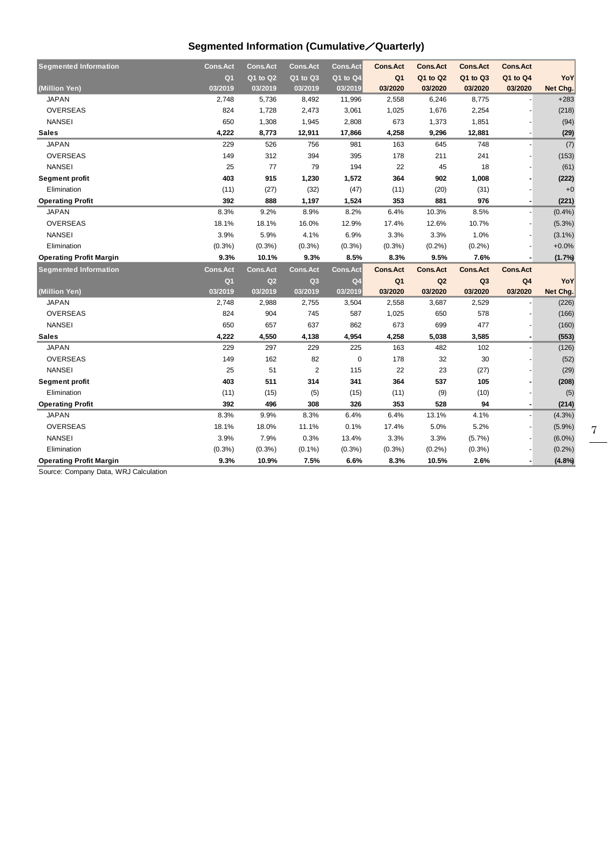### **Segmented Information (Cumulative**/**Quarterly)**

| <b>Segmented Information</b>   | <b>Cons.Act</b> | <b>Cons.Act</b> | <b>Cons.Act</b> | <b>Cons.Act</b> | <b>Cons.Act</b> | <b>Cons.Act</b> | <b>Cons.Act</b> | <b>Cons.Act</b> |                 |
|--------------------------------|-----------------|-----------------|-----------------|-----------------|-----------------|-----------------|-----------------|-----------------|-----------------|
|                                | Q <sub>1</sub>  | Q1 to Q2        | Q1 to Q3        | Q1 to Q4        | Q <sub>1</sub>  | Q1 to Q2        | Q1 to Q3        | Q1 to Q4        | YoY             |
| (Million Yen)                  | 03/2019         | 03/2019         | 03/2019         | 03/2019         | 03/2020         | 03/2020         | 03/2020         | 03/2020         | Net Chg.        |
| <b>JAPAN</b>                   | 2,748           | 5,736           | 8,492           | 11,996          | 2,558           | 6,246           | 8,775           |                 | $+283$          |
| <b>OVERSEAS</b>                | 824             | 1,728           | 2,473           | 3,061           | 1,025           | 1,676           | 2,254           |                 | (218)           |
| <b>NANSEI</b>                  | 650             | 1,308           | 1,945           | 2,808           | 673             | 1,373           | 1,851           |                 | (94)            |
| <b>Sales</b>                   | 4,222           | 8,773           | 12,911          | 17,866          | 4,258           | 9,296           | 12,881          |                 | (29)            |
| <b>JAPAN</b>                   | 229             | 526             | 756             | 981             | 163             | 645             | 748             |                 | (7)             |
| <b>OVERSEAS</b>                | 149             | 312             | 394             | 395             | 178             | 211             | 241             |                 | (153)           |
| <b>NANSEI</b>                  | 25              | 77              | 79              | 194             | 22              | 45              | 18              |                 | (61)            |
| <b>Segment profit</b>          | 403             | 915             | 1,230           | 1,572           | 364             | 902             | 1,008           |                 | (222)           |
| Elimination                    | (11)            | (27)            | (32)            | (47)            | (11)            | (20)            | (31)            |                 | $+0$            |
| <b>Operating Profit</b>        | 392             | 888             | 1,197           | 1,524           | 353             | 881             | 976             |                 | (221)           |
| <b>JAPAN</b>                   | 8.3%            | 9.2%            | 8.9%            | 8.2%            | 6.4%            | 10.3%           | 8.5%            |                 | (0.4% )         |
| <b>OVERSEAS</b>                | 18.1%           | 18.1%           | 16.0%           | 12.9%           | 17.4%           | 12.6%           | 10.7%           |                 | (5.3%)          |
| <b>NANSEI</b>                  | 3.9%            | 5.9%            | 4.1%            | 6.9%            | 3.3%            | 3.3%            | 1.0%            |                 | $(3.1\%)$       |
| Elimination                    | $(0.3\%)$       | (0.3%)          | $(0.3\%)$       | $(0.3\%)$       | $(0.3\%)$       | (0.2%)          | (0.2%)          |                 | $+0.0%$         |
| <b>Operating Profit Margin</b> | 9.3%            | 10.1%           | 9.3%            | 8.5%            | 8.3%            | 9.5%            | 7.6%            |                 | (1.7%           |
| <b>Segmented Information</b>   | Cons. Act       | <b>Cons.Act</b> | <b>Cons.Act</b> | <b>Cons.Act</b> | <b>Cons.Act</b> | <b>Cons.Act</b> | <b>Cons.Act</b> | <b>Cons.Act</b> |                 |
|                                | Q <sub>1</sub>  | Q2              | Q <sub>3</sub>  | Q <sub>4</sub>  | Q <sub>1</sub>  | Q2              | Q <sub>3</sub>  | Q <sub>4</sub>  | YoY             |
| (Million Yen)                  | 03/2019         | 03/2019         | 03/2019         | 03/2019         | 03/2020         | 03/2020         | 03/2020         | 03/2020         | Net Chg.        |
| <b>JAPAN</b>                   | 2,748           | 2,988           | 2,755           | 3,504           | 2,558           | 3,687           | 2,529           |                 | (226)           |
| <b>OVERSEAS</b>                | 824             | 904             | 745             | 587             | 1,025           | 650             | 578             |                 | (166)           |
| <b>NANSEI</b>                  | 650             | 657             | 637             | 862             | 673             | 699             | 477             |                 | (160)           |
| <b>Sales</b>                   | 4,222           | 4,550           | 4,138           | 4,954           | 4,258           | 5,038           | 3,585           |                 | (553)           |
| <b>JAPAN</b>                   | 229             | 297             | 229             | 225             | 163             | 482             | 102             |                 | (126)           |
| <b>OVERSEAS</b>                | 149             | 162             | 82              | $\mathbf 0$     | 178             | 32              | 30              |                 | (52)            |
| <b>NANSEI</b>                  |                 |                 |                 |                 |                 |                 |                 |                 | (29)            |
| Segment profit                 | 25              | 51              | $\overline{2}$  | 115             | 22              | 23              | (27)            |                 |                 |
|                                | 403             | 511             | 314             | 341             | 364             | 537             | 105             |                 |                 |
| Elimination                    | (11)            | (15)            | (5)             | (15)            | (11)            | (9)             | (10)            |                 | (208)<br>(5)    |
| <b>Operating Profit</b>        | 392             | 496             | 308             | 326             | 353             | 528             | 94              |                 |                 |
| <b>JAPAN</b>                   | 8.3%            | 9.9%            | 8.3%            | 6.4%            | 6.4%            | 13.1%           | 4.1%            |                 | (4.3%)          |
| <b>OVERSEAS</b>                | 18.1%           | 18.0%           | 11.1%           | 0.1%            | 17.4%           | 5.0%            | 5.2%            |                 | (5.9%)          |
| <b>NANSEI</b>                  | 3.9%            | 7.9%            | 0.3%            | 13.4%           | 3.3%            | 3.3%            | (5.7%)          |                 | $(6.0\%)$       |
| Elimination                    | $(0.3\%)$       | (0.3%)          | $(0.1\%)$       | (0.3%)          | (0.3% )         | (0.2%)          | (0.3%)          |                 | (214)<br>(0.2%) |

Source: Company Data, WRJ Calculation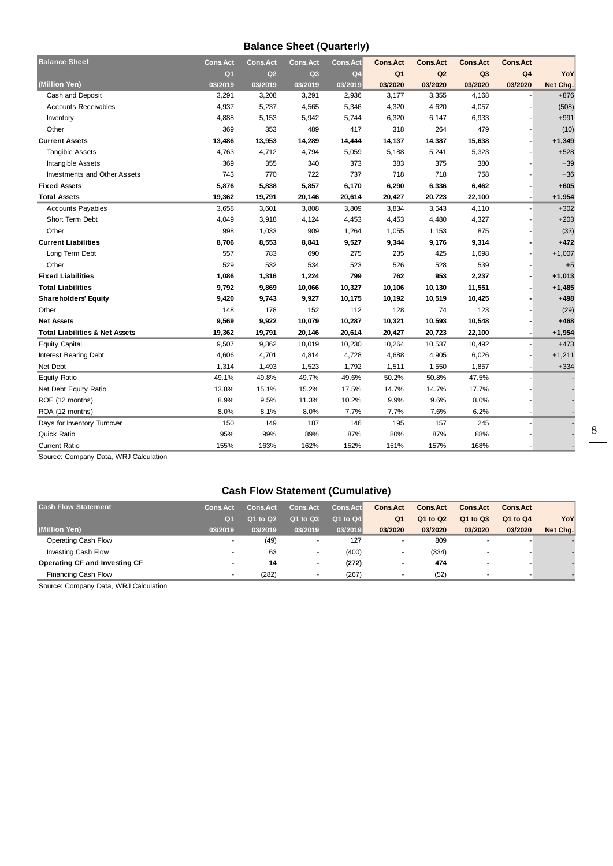#### **Balance Sheet (Quarterly)**

| <b>Balance Sheet</b>                      | <b>Cons.Act</b> | <b>Cons.Act</b> | <b>Cons.Act</b> | <b>Cons.Act</b> | <b>Cons.Act</b> | <b>Cons.Act</b> | <b>Cons.Act</b> | <b>Cons.Act</b> |          |
|-------------------------------------------|-----------------|-----------------|-----------------|-----------------|-----------------|-----------------|-----------------|-----------------|----------|
|                                           | Q <sub>1</sub>  | Q2              | Q <sub>3</sub>  | Q <sub>4</sub>  | Q <sub>1</sub>  | Q2              | Q <sub>3</sub>  | Q <sub>4</sub>  | YoY      |
| (Million Yen)                             | 03/2019         | 03/2019         | 03/2019         | 03/2019         | 03/2020         | 03/2020         | 03/2020         | 03/2020         | Net Chg. |
| Cash and Deposit                          | 3,291           | 3,208           | 3,291           | 2,936           | 3,177           | 3,355           | 4,168           |                 | $+876$   |
| <b>Accounts Receivables</b>               | 4,937           | 5,237           | 4,565           | 5,346           | 4,320           | 4,620           | 4,057           |                 | (508)    |
| Inventory                                 | 4,888           | 5,153           | 5,942           | 5,744           | 6,320           | 6,147           | 6,933           |                 | $+991$   |
| Other                                     | 369             | 353             | 489             | 417             | 318             | 264             | 479             |                 | (10)     |
| <b>Current Assets</b>                     | 13,486          | 13,953          | 14,289          | 14,444          | 14,137          | 14,387          | 15,638          |                 | $+1,349$ |
| <b>Tangible Assets</b>                    | 4,763           | 4,712           | 4,794           | 5,059           | 5,188           | 5,241           | 5,323           |                 | $+528$   |
| Intangible Assets                         | 369             | 355             | 340             | 373             | 383             | 375             | 380             |                 | $+39$    |
| Investments and Other Assets              | 743             | 770             | 722             | 737             | 718             | 718             | 758             |                 | $+36$    |
| <b>Fixed Assets</b>                       | 5,876           | 5,838           | 5,857           | 6,170           | 6,290           | 6,336           | 6,462           |                 | $+605$   |
| <b>Total Assets</b>                       | 19,362          | 19,791          | 20,146          | 20,614          | 20,427          | 20,723          | 22,100          |                 | $+1,954$ |
| <b>Accounts Payables</b>                  | 3,658           | 3,601           | 3,808           | 3,809           | 3,834           | 3,543           | 4,110           |                 | $+302$   |
| Short Term Debt                           | 4,049           | 3,918           | 4,124           | 4,453           | 4,453           | 4,480           | 4,327           |                 | $+203$   |
| Other                                     | 998             | 1,033           | 909             | 1,264           | 1,055           | 1,153           | 875             |                 | (33)     |
| <b>Current Liabilities</b>                | 8,706           | 8,553           | 8,841           | 9,527           | 9,344           | 9,176           | 9,314           |                 | $+472$   |
| Long Term Debt                            | 557             | 783             | 690             | 275             | 235             | 425             | 1,698           |                 | $+1,007$ |
| Other                                     | 529             | 532             | 534             | 523             | 526             | 528             | 539             |                 | $+5$     |
| <b>Fixed Liabilities</b>                  | 1,086           | 1,316           | 1,224           | 799             | 762             | 953             | 2,237           |                 | $+1,013$ |
| <b>Total Liabilities</b>                  | 9,792           | 9,869           | 10,066          | 10,327          | 10,106          | 10,130          | 11,551          |                 | $+1,485$ |
| <b>Shareholders' Equity</b>               | 9,420           | 9,743           | 9,927           | 10,175          | 10,192          | 10,519          | 10,425          |                 | $+498$   |
| Other                                     | 148             | 178             | 152             | 112             | 128             | 74              | 123             |                 | (29)     |
| <b>Net Assets</b>                         | 9,569           | 9,922           | 10,079          | 10,287          | 10,321          | 10,593          | 10,548          |                 | $+468$   |
| <b>Total Liabilities &amp; Net Assets</b> | 19,362          | 19,791          | 20,146          | 20,614          | 20,427          | 20,723          | 22,100          |                 | $+1,954$ |
| <b>Equity Capital</b>                     | 9,507           | 9,862           | 10,019          | 10,230          | 10,264          | 10,537          | 10,492          |                 | $+473$   |
| <b>Interest Bearing Debt</b>              | 4,606           | 4,701           | 4,814           | 4,728           | 4,688           | 4,905           | 6,026           |                 | $+1,211$ |
| Net Debt                                  | 1,314           | 1,493           | 1,523           | 1,792           | 1,511           | 1,550           | 1,857           |                 | $+334$   |
| <b>Equity Ratio</b>                       | 49.1%           | 49.8%           | 49.7%           | 49.6%           | 50.2%           | 50.8%           | 47.5%           |                 |          |
| Net Debt Equity Ratio                     | 13.8%           | 15.1%           | 15.2%           | 17.5%           | 14.7%           | 14.7%           | 17.7%           |                 |          |
| ROE (12 months)                           | 8.9%            | 9.5%            | 11.3%           | 10.2%           | 9.9%            | 9.6%            | 8.0%            |                 |          |
| ROA (12 months)                           | 8.0%            | 8.1%            | 8.0%            | 7.7%            | 7.7%            | 7.6%            | 6.2%            |                 |          |
| Days for Inventory Turnover               | 150             | 149             | 187             | 146             | 195             | 157             | 245             |                 |          |
| <b>Quick Ratio</b>                        | 95%             | 99%             | 89%             | 87%             | 80%             | 87%             | 88%             |                 |          |
| <b>Current Ratio</b>                      | 155%            | 163%            | 162%            | 152%            | 151%            | 157%            | 168%            |                 |          |

Source: Company Data, WRJ Calculation

#### **Cash Flow Statement (Cumulative)**

| <b>Cash Flow Statement</b>      | <b>Cons.Act</b> | <b>Cons.Act</b> | <b>Cons.Act</b> | <b>Cons.Act</b> | <b>Cons.Act</b> | <b>Cons.Act</b> | <b>Cons.Act</b>          | <b>Cons.Act</b> |          |
|---------------------------------|-----------------|-----------------|-----------------|-----------------|-----------------|-----------------|--------------------------|-----------------|----------|
|                                 | Q <sub>1</sub>  | Q1 to Q2        | Q1 to Q3        | Q1 to Q4        | Q <sub>1</sub>  | Q1 to Q2        | Q1 to Q3                 | Q1 to Q4        | YoY      |
| (Million Yen)                   | 03/2019         | 03/2019         | 03/2019         | 03/2019         | 03/2020         | 03/2020         | 03/2020                  | 03/2020         | Net Chg. |
| <b>Operating Cash Flow</b>      |                 | (49)            |                 | 127             |                 | 809             | $\overline{\phantom{a}}$ |                 |          |
| Investing Cash Flow             |                 | 63              |                 | (400)           |                 | (334)           |                          |                 |          |
| Operating CF and Investing CF   |                 | 14              | ٠               | (272)           | $\blacksquare$  | 474             | $\blacksquare$           |                 |          |
| Financing Cash Flow             |                 | (282)           |                 | (267)           |                 | (52)            |                          |                 |          |
| _ _<br>$\overline{\phantom{0}}$ |                 |                 |                 |                 |                 |                 |                          |                 |          |

Source: Company Data, WRJ Calculation